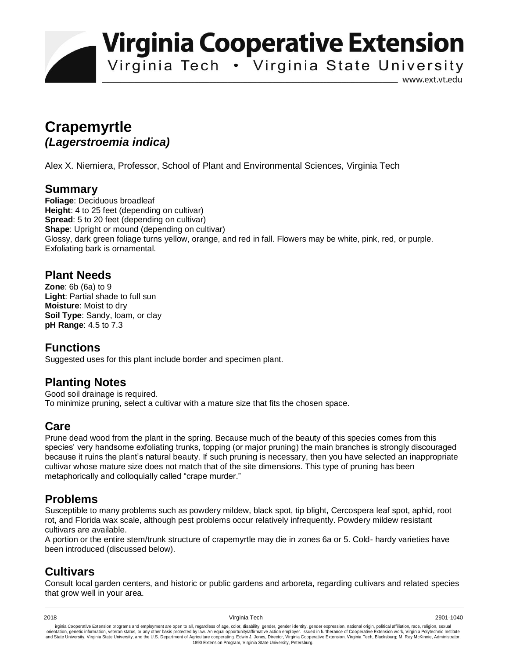**Virginia Cooperative Extension** 

Virginia Tech . Virginia State University

www.ext.vt.edu

# **Crapemyrtle**  *(Lagerstroemia indica)*

Alex X. Niemiera, Professor, School of Plant and Environmental Sciences, Virginia Tech

## **Summary**

**Foliage**: Deciduous broadleaf **Height**: 4 to 25 feet (depending on cultivar) **Spread**: 5 to 20 feet (depending on cultivar) **Shape**: Upright or mound (depending on cultivar) Glossy, dark green foliage turns yellow, orange, and red in fall. Flowers may be white, pink, red, or purple. Exfoliating bark is ornamental.

### **Plant Needs**

**Zone**: 6b (6a) to 9 **Light**: Partial shade to full sun **Moisture**: Moist to dry **Soil Type**: Sandy, loam, or clay **pH Range**: 4.5 to 7.3

### **Functions**

Suggested uses for this plant include border and specimen plant.

### **Planting Notes**

Good soil drainage is required. To minimize pruning, select a cultivar with a mature size that fits the chosen space.

### **Care**

Prune dead wood from the plant in the spring. Because much of the beauty of this species comes from this species' very handsome exfoliating trunks, topping (or major pruning) the main branches is strongly discouraged because it ruins the plant's natural beauty. If such pruning is necessary, then you have selected an inappropriate cultivar whose mature size does not match that of the site dimensions. This type of pruning has been metaphorically and colloquially called "crape murder."

## **Problems**

Susceptible to many problems such as powdery mildew, black spot, tip blight, Cercospera leaf spot, aphid, root rot, and Florida wax scale, although pest problems occur relatively infrequently. Powdery mildew resistant cultivars are available.

A portion or the entire stem/trunk structure of crapemyrtle may die in zones 6a or 5. Cold- hardy varieties have been introduced (discussed below).

# **Cultivars**

Consult local garden centers, and historic or public gardens and arboreta, regarding cultivars and related species that grow well in your area.

irginia Cooperative Extension programs and employment are open to all, regardless of age, color, disability, gender, gender identity, gender expression, national origin, political affiliation, race, religion, sexual orient 1890 Extension Program, Virginia State University, Petersburg.